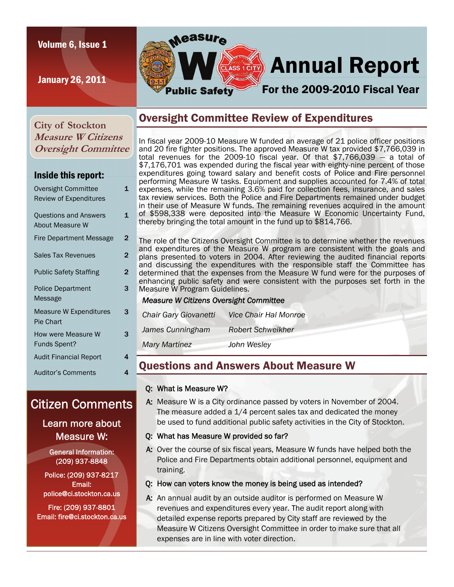### Volume 6, Issue 1

January 26, 2011



# **ELASS 1CITY** Annual Report

# For the 2009-2010 Fiscal Year

**City of Stockton Measure W Citizens Oversight Committee** 

### Inside this report:

| Oversight Committee            | 1              |
|--------------------------------|----------------|
| <b>Review of Expenditures</b>  |                |
| <b>Questions and Answers</b>   | 1              |
| About Measure W                |                |
| <b>Fire Department Message</b> | $\overline{2}$ |
| <b>Sales Tax Revenues</b>      | 2              |
| <b>Public Safety Staffing</b>  | 2              |
| <b>Police Department</b>       | 3              |
| Message                        |                |
| <b>Measure W Expenditures</b>  | 3              |
| <b>Pie Chart</b>               |                |
| How were Measure W             | 3              |
| <b>Funds Spent?</b>            |                |
| <b>Audit Financial Report</b>  | 4              |
| <b>Auditor's Comments</b>      | 4              |
|                                |                |

# Citizen Comments

## Learn more about Measure W:

General Information: (209) 937-8848

Police: (209) 937-8217 Email: police@ci.stockton.ca.us

Fire: (209) 937-8801 Email: fire@ci.stockton.ca.us

# Oversight Committee Review of Expenditures

In fiscal year 2009-10 Measure W funded an average of 21 police officer positions and 20 fire fighter positions. The approved Measure W tax provided \$7,766,039 in total revenues for the 2009-10 fiscal year. Of that \$7,766,039 — a total of \$7,176,701 was expended during the fiscal year with eighty-nine percent of those expenditures going toward salary and benefit costs of Police and Fire personnel performing Measure W tasks. Equipment and supplies accounted for 7.4% of total expenses, while the remaining 3.6% paid for collection fees, insurance, and sales tax review services. Both the Police and Fire Departments remained under budget in their use of Measure W funds. The remaining revenues acquired in the amount of \$598,338 were deposited into the Measure W Economic Uncertainty Fund, thereby bringing the total amount in the fund up to \$814,766.

The role of the Citizens Oversight Committee is to determine whether the revenues and expenditures of the Measure W program are consistent with the goals and plans presented to voters in 2004. After reviewing the audited financial reports and discussing the expenditures with the responsible staff the Committee has determined that the expenses from the Measure W fund were for the purposes of enhancing public safety and were consistent with the purposes set forth in the Measure W Program Guidelines.

### *Measure W Citizens Oversight Committee*

| Chair Gary Giovanetti | <b>Vice Chair Hal Monroe</b> |
|-----------------------|------------------------------|
| James Cunningham      | <b>Robert Schweikher</b>     |
| <b>Mary Martinez</b>  | John Wesley                  |

# Questions and Answers About Measure W

### Q: What is Measure W?

A: Measure W is a City ordinance passed by voters in November of 2004. The measure added a 1/4 percent sales tax and dedicated the money be used to fund additional public safety activities in the City of Stockton.

### Q: What has Measure W provided so far?

A: Over the course of six fiscal years, Measure W funds have helped both the Police and Fire Departments obtain additional personnel, equipment and training.

### Q: How can voters know the money is being used as intended?

A: An annual audit by an outside auditor is performed on Measure W revenues and expenditures every year. The audit report along with detailed expense reports prepared by City staff are reviewed by the Measure W Citizens Oversight Committee in order to make sure that all expenses are in line with voter direction.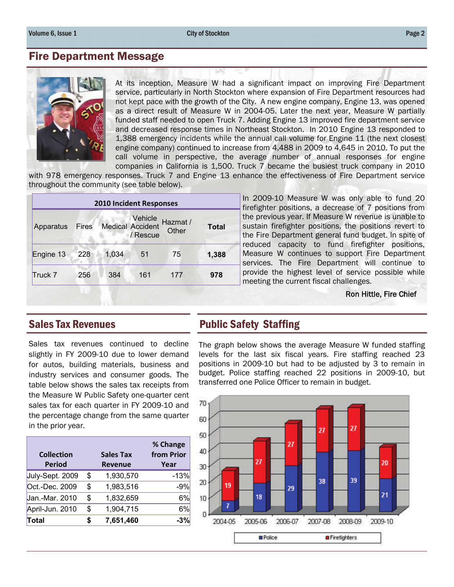## Fire Department Message



At its inception, Measure W had a significant impact on improving Fire Department service, particularly in North Stockton where expansion of Fire Department resources had not kept pace with the growth of the City. A new engine company, Engine 13, was opened as a direct result of Measure W in 2004-05. Later the next year, Measure W partially funded staff needed to open Truck 7. Adding Engine 13 improved fire department service and decreased response times in Northeast Stockton. In 2010 Engine 13 responded to 1,388 emergency incidents while the annual call volume for Engine 11 (the next closest engine company) continued to increase from 4,488 in 2009 to 4,645 in 2010. To put the call volume in perspective, the average number of annual responses for engine companies in California is 1,500. Truck 7 became the busiest truck company in 2010

with 978 emergency responses. Truck 7 and Engine 13 enhance the effectiveness of Fire Department service throughout the community (see table below).

|           |     |                                   | <b>2010 Incident Responses</b> |                   |              |
|-----------|-----|-----------------------------------|--------------------------------|-------------------|--------------|
| Apparatus |     | Vehicle<br>Fires Medical Accident | / Rescue                       | Hazmat /<br>Other | <b>Total</b> |
| Engine 13 | 228 | 1,034                             | 51                             | 75                | 1,388        |
| Truck 7   | 256 | 384                               | 161                            | 177               | 978          |

In 2009-10 Measure W was only able to fund 20 firefighter positions, a decrease of 7 positions from the previous year. If Measure W revenue is unable to sustain firefighter positions, the positions revert to the Fire Department general fund budget. In spite of reduced capacity to fund firefighter positions, Measure W continues to support Fire Department services. The Fire Department will continue to provide the highest level of service possible while meeting the current fiscal challenges.

### Ron Hittle, Fire Chief

Sales tax revenues continued to decline slightly in FY 2009-10 due to lower demand for autos, building materials, business and industry services and consumer goods. The table below shows the sales tax receipts from the Measure W Public Safety one-quarter cent sales tax for each quarter in FY 2009-10 and the percentage change from the same quarter in the prior year.

| <b>Collection</b><br><b>Period</b> |    | <b>Sales Tax</b><br><b>Revenue</b> | % Change<br>from Prior<br>Year |
|------------------------------------|----|------------------------------------|--------------------------------|
| July-Sept. 2009                    | \$ | 1,930,570                          | $-13%$                         |
| Oct.-Dec. 2009                     | \$ | 1,983,516                          | $-9%$                          |
| Jan.-Mar. 2010                     | \$ | 1,832,659                          | 6%                             |
| April-Jun. 2010                    | \$ | 1,904,715                          | 6%                             |
| Total                              | S  | 7,651,460                          | -3%                            |

# Sales Tax Revenues **Public Safety Staffing**

The graph below shows the average Measure W funded staffing levels for the last six fiscal years. Fire staffing reached 23 positions in 2009-10 but had to be adjusted by 3 to remain in budget. Police staffing reached 22 positions in 2009-10, but transferred one Police Officer to remain in budget.

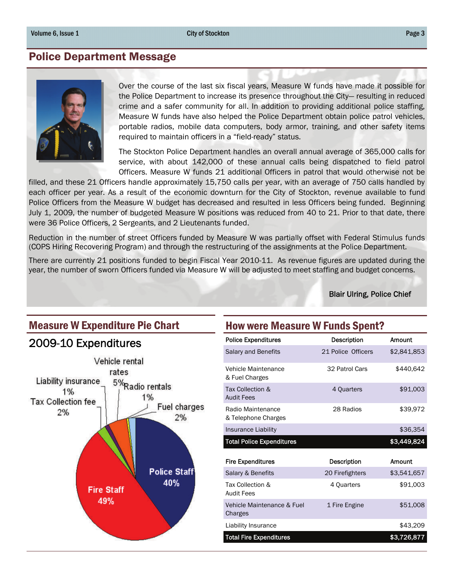City of Stockton **Page 3** 

### Police Department Message



Over the course of the last six fiscal years, Measure W funds have made it possible for the Police Department to increase its presence throughout the City— resulting in reduced crime and a safer community for all. In addition to providing additional police staffing, Measure W funds have also helped the Police Department obtain police patrol vehicles, portable radios, mobile data computers, body armor, training, and other safety items required to maintain officers in a "field-ready" status.

The Stockton Police Department handles an overall annual average of 365,000 calls for service, with about 142,000 of these annual calls being dispatched to field patrol Officers. Measure W funds 21 additional Officers in patrol that would otherwise not be

filled, and these 21 Officers handle approximately 15,750 calls per year, with an average of 750 calls handled by each officer per year. As a result of the economic downturn for the City of Stockton, revenue available to fund Police Officers from the Measure W budget has decreased and resulted in less Officers being funded. Beginning July 1, 2009, the number of budgeted Measure W positions was reduced from 40 to 21. Prior to that date, there were 36 Police Officers, 2 Sergeants, and 2 Lieutenants funded.

Reduction in the number of street Officers funded by Measure W was partially offset with Federal Stimulus funds (COPS Hiring Recovering Program) and through the restructuring of the assignments at the Police Department.

There are currently 21 positions funded to begin Fiscal Year 2010-11. As revenue figures are updated during the year, the number of sworn Officers funded via Measure W will be adjusted to meet staffing and budget concerns.

Blair Ulring, Police Chief

# 2009-10 Expenditures



## Measure W Expenditure Pie Chart How were Measure W Funds Spent?

| <b>Police Expenditures</b>               | Description        | Amount      |
|------------------------------------------|--------------------|-------------|
| Salary and Benefits                      | 21 Police Officers | \$2,841,853 |
| Vehicle Maintenance<br>& Fuel Charges    | 32 Patrol Cars     | \$440.642   |
| Tax Collection &<br><b>Audit Fees</b>    | 4 Quarters         | \$91,003    |
| Radio Maintenance<br>& Telephone Charges | 28 Radios          | \$39,972    |
| Insurance Liability                      |                    | \$36,354    |
| <b>Total Police Expenditures</b>         |                    | \$3,449,824 |
|                                          |                    |             |
| <b>Fire Expenditures</b>                 | <b>Description</b> | Amount      |
| Salary & Benefits                        | 20 Firefighters    | \$3,541,657 |
| Tax Collection &<br><b>Audit Fees</b>    | 4 Quarters         | \$91.003    |
| Vehicle Maintenance & Fuel<br>Charges    | 1 Fire Engine      | \$51,008    |
| Liability Insurance                      |                    | \$43,209    |
| <b>Total Fire Expenditures</b>           |                    | \$3,726,877 |